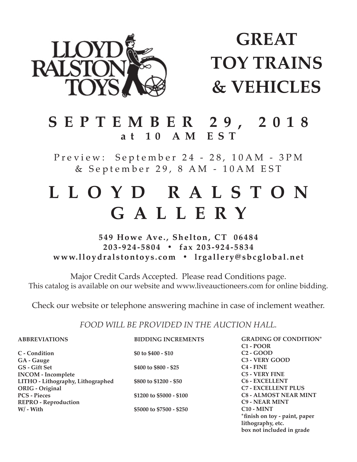

# **GREAT TOY TRAINS & VEHICLES**

# **SEPTEMBER 29, 2018 at 10 AM EST**

Preview: September 24 - 28, 10AM - 3PM & September 29, 8 AM - 10AM EST

# **L L O Y D R A L S T O N GALLERY**

## **549 Howe Ave., Shelton, CT 06484 203-924-5804 • fax 203-924-5834 www.lloydralstontoys.com • lrgallery@sbcglobal.net**

Major Credit Cards Accepted. Please read Conditions page. This catalog is available on our website and www.liveauctioneers.com for online bidding.

Check our website or telephone answering machine in case of inclement weather.

### *FOOD WILL BE PROVIDED IN THE AUCTION HALL.*

| <b>ABBREVIATIONS</b>              | <b>BIDDING INCREMENTS</b> | <b>GRADING OF CONDITION*</b>  |
|-----------------------------------|---------------------------|-------------------------------|
|                                   |                           | $C1 - POOR$                   |
| C - Condition                     | \$0 to $$400 - $10$       | $C2 - GOOD$                   |
| GA - Gauge                        |                           | C <sub>3</sub> - VERY GOOD    |
| GS - Gift Set                     | \$400 to \$800 - \$25     | $C4 - FINE$                   |
| <b>INCOM</b> - Incomplete         |                           | <b>C5 - VERY FINE</b>         |
| LITHO - Lithography, Lithographed | \$800 to \$1200 - \$50    | <b>C6 - EXCELLENT</b>         |
| ORIG - Original                   |                           | <b>C7 - EXCELLENT PLUS</b>    |
| <b>PCS - Pieces</b>               | \$1200 to \$5000 - \$100  | <b>C8 - ALMOST NEAR MINT</b>  |
| <b>REPRO - Reproduction</b>       |                           | <b>C9 - NEAR MINT</b>         |
| $W/$ - With                       | \$5000 to \$7500 - \$250  | $C10 - MINT$                  |
|                                   |                           | *finish on toy - paint, paper |
|                                   |                           | lithography, etc.             |

box not included in grade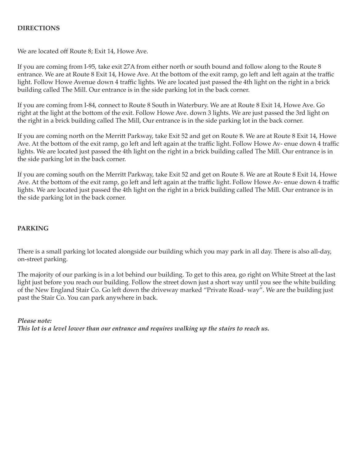#### **DIRECTIONS**

We are located off Route 8; Exit 14, Howe Ave.

If you are coming from I-95, take exit 27A from either north or south bound and follow along to the Route 8 entrance. We are at Route 8 Exit 14, Howe Ave. At the bottom of the exit ramp, go left and left again at the traffic light. Follow Howe Avenue down 4 traffic lights. We are located just passed the 4th light on the right in a brick building called The Mill. Our entrance is in the side parking lot in the back corner.

If you are coming from I-84, connect to Route 8 South in Waterbury. We are at Route 8 Exit 14, Howe Ave. Go right at the light at the bottom of the exit. Follow Howe Ave. down 3 lights. We are just passed the 3rd light on the right in a brick building called The Mill, Our entrance is in the side parking lot in the back corner.

If you are coming north on the Merritt Parkway, take Exit 52 and get on Route 8. We are at Route 8 Exit 14, Howe Ave. At the bottom of the exit ramp, go left and left again at the traffic light. Follow Howe Av-enue down 4 traffic lights. We are located just passed the 4th light on the right in a brick building called The Mill. Our entrance is in the side parking lot in the back corner.

If you are coming south on the Merritt Parkway, take Exit 52 and get on Route 8. We are at Route 8 Exit 14, Howe Ave. At the bottom of the exit ramp, go left and left again at the traffic light. Follow Howe Av- enue down 4 traffic lights. We are located just passed the 4th light on the right in a brick building called The Mill. Our entrance is in the side parking lot in the back corner.

#### **PARKING**

There is a small parking lot located alongside our building which you may park in all day. There is also all-day, on-street parking.

The majority of our parking is in a lot behind our building. To get to this area, go right on White Street at the last light just before you reach our building. Follow the street down just a short way until you see the white building of the New England Stair Co. Go left down the driveway marked "Private Road-way". We are the building just past the Stair Co. You can park anywhere in back.

*Please note: This lot is a level lower than our entrance and requires walking up the stairs to reach us.*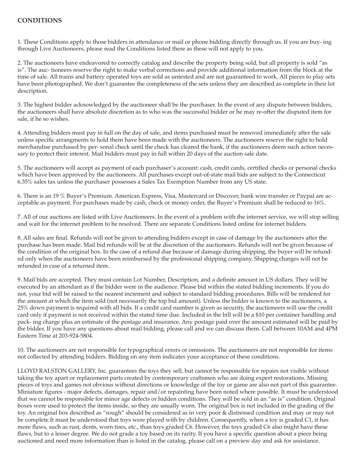### **CONDITIONS**

1. These Conditions apply to those bidders in attendance or mail or phone bidding directly through us. If you are buy- ing through Live Auctioneers, please read the Conditions listed there as these will not apply to you.

2. The auctioneers have endeavored to correctly catalog and describe the property being sold, but all property is sold "as is". The auc-tioneers reserve the right to make verbal corrections and provide additional information from the block at the time of sale. All trains and battery operated toys are sold as untested and are not guaranteed to work. All pieces to play sets have been photographed. We don't guarantee the completeness of the sets unless they are described as complete in their lot description.

3. The highest bidder acknowledged by the auctioneer shall be the purchaser. In the event of any dispute between bidders, the auctioneers shall have absolute discretion as to who was the successful bidder or he may re-offer the disputed item for sale, if he so wishes.

4. Attending bidders must pay in full on the day of sale, and items purchased must be removed immediately after the sale unless specific arrangments to hold them have been made with the auctioneers. The auctioneers reserve the right to hold merchandise purchased by per- sonal check until the check has cleared the bank, if the auctioneers deem such action necessary to protect their interest. Mail bidders must pay in full within 20 days of the auction sale date.

5. The auctioneers will accept as payment of each purchaser's account: cash, credit cards, certified checks or personal checks which have been approved by the auctioneers. All purchases except out-of-state mail bids are subject to the Connecticut 6.35% sales tax unless the purchaser possesses a Sales Tax Exemption Number from any US state.

6. There is an 19 % Buyer's Premium. American Express, Visa, Mastercard or Discover, bank wire transfer or Paypal are acceptable as payment. For purchases made by cash, check or money order, the Buyer's Premium shall be reduced to 16%.

7. All of our auctions are listed with Live Auctioneers. In the event of a problem with the internet service, we will stop selling and wait for the internet problem to be resolved. There are separate Conditions listed online for internet bidders.

8. All sales are final. Refunds will not be given to attending bidders except in case of damage by the auctioneers after the purchase has been made. Mail bid refunds will be at the discretion of the auctioneers. Refunds will not be given because of the condition of the original box. In the case of a refund due because of damage during shipping, the buyer will be refunded only when the auctioneers have been reimbursed by the professional shipping company. Shipping charges will not be refunded in case of a returned item.

9. Mail bids are accepted. They must contain Lot Number, Description, and a definite amount in US dollars. They will be executed by an attendant as if the bidder were in the audience. Please bid within the stated bidding increments. If you do not, your bid will be raised to the nearest increment and subject to standard bidding procedures. Bills will be rendered for the amount at which the item sold (not necessarily the top bid amount). Unless the bidder is known to the auctioneers, a 25% down payment is required with all bids. If a credit card number is given as security, the auctioneers will use the credit card only if payment is not received within the stated time due. Included in the bill will be a \$10 per container handling and pack- ing charge plus an estimate of the postage and insurance. Any postage paid over the amount estimated will be paid by the bidder. If you have any questions about mail bidding, please call and we can discuss them. Call between 10AM and 4PM Eastern Time at 203-924-5804.

10. The auctioneers are not responsible for typographical errors or omissions. The auctioneers are not responsible for items not collected by attending bidders. Bidding on any item indicates your acceptance of these conditions.

LLOYD RALSTON GALLERY, Inc. guarantees the toys they sell, but cannot be responsible for repairs not visible without taking the toy apart or replacement parts created by contemporary craftsmen who are doing expert restorations. Missing pieces of toys and games not obvious without directions or knowledge of the toy or game are also not part of this guarantee. Miniature figures - major defects, damages, repair and/or repainting have been noted where possible. It must be understood that we cannot be responsible for minor age defects or hidden conditions. They will be sold in an "as is" condition. Original boxes were used to protect the items inside, so they are usually worn. The original box is not included in the grading of the toy. An original box described as "rough" should be considered as in very poor & distressed condition and may or may not be complete.It must be understood that toys were played with by children. Consequently, when a toy is graded C1, it has more flaws, such as rust, dents, worn tires, etc., than toys graded C6. However, the toys graded C6 also might have these flaws, but to a lesser degree. We do not grade a toy based on its rarity. If you have a specific question about a piece being auctioned and need more information than is listed in the catalog, please call on a preview day and ask for assistance.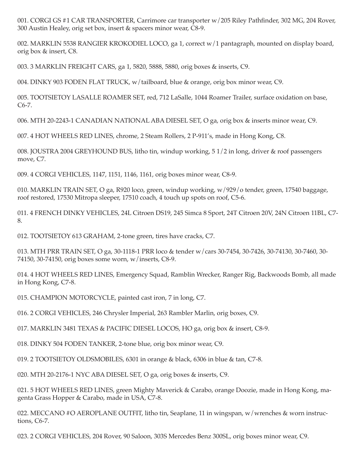001. CORGI GS #1 CAR TRANSPORTER, Carrimore car transporter w/205 Riley Pathfinder, 302 MG, 204 Rover, 300 Austin Healey, orig set box, insert & spacers minor wear, C8-9.

002. MARKLIN 5538 RANGIER KROKODIEL LOCO, ga 1, correct w/1 pantagraph, mounted on display board, orig box & insert, C8.

003. 3 MARKLIN FREIGHT CARS, ga 1, 5820, 5888, 5880, orig boxes & inserts, C9.

004. DINKY 903 FODEN FLAT TRUCK, w/tailboard, blue & orange, orig box minor wear, C9.

005. TOOTSIETOY LASALLE ROAMER SET, red, 712 LaSalle, 1044 Roamer Trailer, surface oxidation on base,  $C6-7.$ 

006. MTH 20-2243-1 CANADIAN NATIONAL ABA DIESEL SET, O ga, orig box & inserts minor wear, C9.

007. 4 HOT WHEELS RED LINES, chrome, 2 Steam Rollers, 2 P-911's, made in Hong Kong, C8.

008. JOUSTRA 2004 GREYHOUND BUS, litho tin, windup working, 5 1/2 in long, driver & roof passengers move, C7.

009. 4 CORGI VEHICLES, 1147, 1151, 1146, 1161, orig boxes minor wear, C8-9.

010. MARKLIN TRAIN SET, O ga, R920 loco, green, windup working, w/929/o tender, green, 17540 baggage, roof restored, 17530 Mitropa sleeper, 17510 coach, 4 touch up spots on roof, C5-6.

011. 4 FRENCH DINKY VEHICLES, 24L Citroen DS19, 245 Simca 8 Sport, 24T Citroen 20V, 24N Citroen 11BL, C7-8.

012. TOOTSIETOY 613 GRAHAM, 2-tone green, tires have cracks, C7.

013. MTH PRR TRAIN SET, O ga, 30-1118-1 PRR loco & tender w/cars 30-7454, 30-7426, 30-74130, 30-7460, 30-74150, 30-74150, orig boxes some worn, w/inserts, C8-9.

014. 4 HOT WHEELS RED LINES, Emergency Squad, Ramblin Wrecker, Ranger Rig, Backwoods Bomb, all made in Hong Kong, C7-8.

015. CHAMPION MOTORCYCLE, painted cast iron, 7 in long, C7.

016. 2 CORGI VEHICLES, 246 Chrysler Imperial, 263 Rambler Marlin, orig boxes, C9.

017. MARKLIN 3481 TEXAS & PACIFIC DIESEL LOCOS, HO ga, orig box & insert, C8-9.

018. DINKY 504 FODEN TANKER, 2-tone blue, orig box minor wear, C9.

019. 2 TOOTSIETOY OLDSMOBILES, 6301 in orange & black, 6306 in blue & tan, C7-8.

020. MTH 20-2176-1 NYC ABA DIESEL SET, O ga, orig boxes & inserts, C9.

021. 5 HOT WHEELS RED LINES, green Mighty Maverick & Carabo, orange Doozie, made in Hong Kong, magenta Grass Hopper & Carabo, made in USA, C7-8.

022. MECCANO #O AEROPLANE OUTFIT, litho tin, Seaplane, 11 in wingspan, w/wrenches & worn instructions, C6-7.

023. 2 CORGI VEHICLES, 204 Rover, 90 Saloon, 303S Mercedes Benz 300SL, orig boxes minor wear, C9.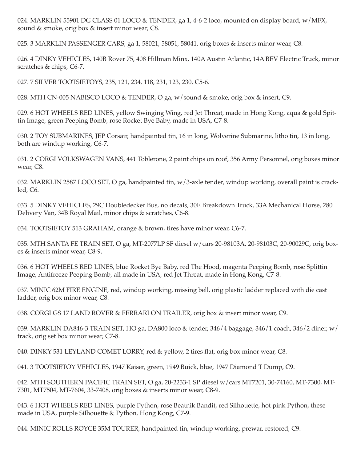024. MARKLIN 55901 DG CLASS 01 LOCO & TENDER, ga 1, 4-6-2 loco, mounted on display board, w/MFX, sound & smoke, orig box & insert minor wear, C8.

025. 3 MARKLIN PASSENGER CARS, ga 1, 58021, 58051, 58041, orig boxes & inserts minor wear, C8.

026. 4 DINKY VEHICLES, 140B Rover 75, 408 Hillman Minx, 140A Austin Atlantic, 14A BEV Electric Truck, minor scratches & chips, C6-7.

027. 7 SILVER TOOTSIETOYS, 235, 121, 234, 118, 231, 123, 230, C5-6.

028. MTH CN-005 NABISCO LOCO & TENDER, O ga, w/sound & smoke, orig box & insert, C9.

029. 6 HOT WHEELS RED LINES, yellow Swinging Wing, red Jet Threat, made in Hong Kong, aqua & gold Spittin Image, green Peeping Bomb, rose Rocket Bye Baby, made in USA, C7-8.

030. 2 TOY SUBMARINES, JEP Corsair, handpainted tin, 16 in long, Wolverine Submarine, litho tin, 13 in long, both are windup working, C6-7.

031. 2 CORGI VOLKSWAGEN VANS, 441 Toblerone, 2 paint chips on roof, 356 Army Personnel, orig boxes minor wear, C8.

032. MARKLIN 2587 LOCO SET, O ga, handpainted tin, w/3-axle tender, windup working, overall paint is crackled, C6.

033. 5 DINKY VEHICLES, 29C Doubledecker Bus, no decals, 30E Breakdown Truck, 33A Mechanical Horse, 280 Delivery Van, 34B Royal Mail, minor chips & scratches, C6-8.

034. TOOTSIETOY 513 GRAHAM, orange & brown, tires have minor wear, C6-7.

035. MTH SANTA FE TRAIN SET, O ga, MT-2077LP SF diesel w/cars 20-98103A, 20-98103C, 20-90029C, orig boxes & inserts minor wear, C8-9.

036. 6 HOT WHEELS RED LINES, blue Rocket Bye Baby, red The Hood, magenta Peeping Bomb, rose Splittin Image, Antifreeze Peeping Bomb, all made in USA, red Jet Threat, made in Hong Kong, C7-8.

037. MINIC 62M FIRE ENGINE, red, windup working, missing bell, orig plastic ladder replaced with die cast ladder, orig box minor wear, C8.

038. CORGI GS 17 LAND ROVER & FERRARI ON TRAILER, orig box & insert minor wear, C9.

039. MARKLIN DA846-3 TRAIN SET, HO ga, DA800 loco & tender, 346/4 baggage, 346/1 coach, 346/2 diner, w/ track, orig set box minor wear, C7-8.

040. DINKY 531 LEYLAND COMET LORRY, red & yellow, 2 tires flat, orig box minor wear, C8.

041. 3 TOOTSIETOY VEHICLES, 1947 Kaiser, green, 1949 Buick, blue, 1947 Diamond T Dump, C9.

042. MTH SOUTHERN PACIFIC TRAIN SET, O ga, 20-2233-1 SP diesel w/cars MT7201, 30-74160, MT-7300, MT-7301, MT7504, MT-7604, 33-7408, orig boxes & inserts minor wear, C8-9.

043. 6 HOT WHEELS RED LINES, purple Python, rose Beatnik Bandit, red Silhouette, hot pink Python, these made in USA, purple Silhouette & Python, Hong Kong, C7-9.

044. MINIC ROLLS ROYCE 35M TOURER, handpainted tin, windup working, prewar, restored, C9.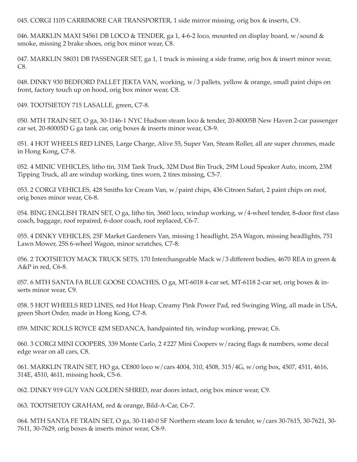045. CORGI 1105 CARRIMORE CAR TRANSPORTER, 1 side mirror missing, orig box & inserts, C9.

046. MARKLIN MAXI 54561 DB LOCO & TENDER, ga 1, 4-6-2 loco, mounted on display board, w/sound & smoke, missing 2 brake shoes, orig box minor wear, C8.

047. MARKLIN 58031 DB PASSENGER SET, ga 1, 1 truck is missing a side frame, orig box & insert minor wear,  $C8.$ 

048. DINKY 930 BEDFORD PALLET JEKTA VAN, working, w/3 pallets, yellow & orange, small paint chips on front, factory touch up on hood, orig box minor wear, C8.

049. TOOTSIETOY 715 LASALLE, green, C7-8.

050. MTH TRAIN SET, O ga, 30-1146-1 NYC Hudson steam loco & tender, 20-80005B New Haven 2-car passenger car set, 20-80005D G ga tank car, orig boxes & inserts minor wear, C8-9.

051. 4 HOT WHEELS RED LINES, Large Charge, Alive 55, Super Van, Steam Roller, all are super chromes, made in Hong Kong, C7-8.

052. 4 MINIC VEHICLES, litho tin, 31M Tank Truck, 32M Dust Bin Truck, 29M Loud Speaker Auto, incom, 23M Tipping Truck, all are windup working, tires worn, 2 tires missing, C5-7.

053. 2 CORGI VEHICLES, 428 Smiths Ice Cream Van, w/paint chips, 436 Citroen Safari, 2 paint chips on roof, orig boxes minor wear, C6-8.

054. BING ENGLISH TRAIN SET, O ga, litho tin, 3660 loco, windup working, w/4-wheel tender, 8-door first class coach, baggage, roof repaired, 6-door coach, roof replaced, C6-7.

055. 4 DINKY VEHICLES, 25F Market Gardeners Van, missing 1 headlight, 25A Wagon, missing headlights, 751 Lawn Mower, 25S 6-wheel Wagon, minor scratches, C7-8.

056. 2 TOOTSIETOY MACK TRUCK SETS, 170 Interchangeable Mack w/3 different bodies, 4670 REA in green & A&P in red, C6-8.

057. 6 MTH SANTA FA BLUE GOOSE COACHES, O ga, MT-6018 4-car set, MT-6118 2-car set, orig boxes & inserts minor wear, C9.

058. 5 HOT WHEELS RED LINES, red Hot Heap, Creamy Pink Power Pad, red Swinging Wing, all made in USA, green Short Order, made in Hong Kong, C7-8.

059. MINIC ROLLS ROYCE 42M SEDANCA, handpainted tin, windup working, prewar, C6.

060. 3 CORGI MINI COOPERS, 339 Monte Carlo, 2 #227 Mini Coopers w/racing flags & numbers, some decal edge wear on all cars, C8.

061. MARKLIN TRAIN SET, HO ga, CE800 loco w/cars 4004, 310, 4508, 315/4G, w/orig box, 4507, 4511, 4616, 314E, 4510, 4611, missing hook, C5-6.

062. DINKY 919 GUY VAN GOLDEN SHRED, rear doors intact, orig box minor wear, C9.

063. TOOTSIETOY GRAHAM, red & orange, Bild-A-Car, C6-7.

064. MTH SANTA FE TRAIN SET, O ga, 30-1140-0 SF Northern steam loco & tender, w/cars 30-7615, 30-7621, 30-7611, 30-7629, orig boxes & inserts minor wear, C8-9.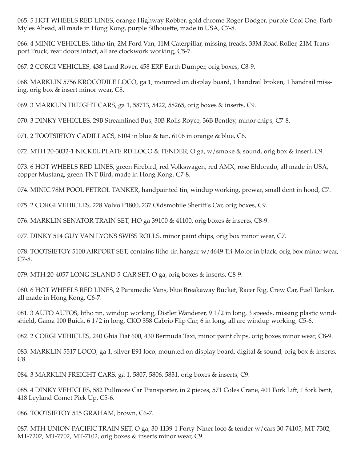065. 5 HOT WHEELS RED LINES, orange Highway Robber, gold chrome Roger Dodger, purple Cool One, Farb Myles Ahead, all made in Hong Kong, purple Silhouette, made in USA, C7-8.

066. 4 MINIC VEHICLES, litho tin, 2M Ford Van, 11M Caterpillar, missing treads, 33M Road Roller, 21M Transport Truck, rear doors intact, all are clockwork working, C5-7.

067. 2 CORGI VEHICLES, 438 Land Rover, 458 ERF Earth Dumper, orig boxes, C8-9.

068. MARKLIN 5756 KROCODILE LOCO, ga 1, mounted on display board, 1 handrail broken, 1 handrail missing, orig box & insert minor wear, C8.

069. 3 MARKLIN FREIGHT CARS, ga 1, 58713, 5422, 58265, orig boxes & inserts, C9.

070. 3 DINKY VEHICLES, 29B Streamlined Bus, 30B Rolls Royce, 36B Bentley, minor chips, C7-8.

071. 2 TOOTSIETOY CADILLACS, 6104 in blue & tan, 6106 in orange & blue, C6.

072. MTH 20-3032-1 NICKEL PLATE RD LOCO & TENDER, O ga, w/smoke & sound, orig box & insert, C9.

073. 6 HOT WHEELS RED LINES, green Firebird, red Volkswagen, red AMX, rose Eldorado, all made in USA, copper Mustang, green TNT Bird, made in Hong Kong, C7-8.

074. MINIC 78M POOL PETROL TANKER, handpainted tin, windup working, prewar, small dent in hood, C7.

075. 2 CORGI VEHICLES, 228 Volvo P1800, 237 Oldsmobile Sheriff's Car, orig boxes, C9.

076. MARKLIN SENATOR TRAIN SET, HO ga 39100 & 41100, orig boxes & inserts, C8-9.

077. DINKY 514 GUY VAN LYONS SWISS ROLLS, minor paint chips, orig box minor wear, C7.

078. TOOTSIETOY 5100 AIRPORT SET, contains litho tin hangar w/4649 Tri-Motor in black, orig box minor wear,  $C7-8.$ 

079. MTH 20-4057 LONG ISLAND 5-CAR SET, O ga, orig boxes & inserts, C8-9.

080. 6 HOT WHEELS RED LINES, 2 Paramedic Vans, blue Breakaway Bucket, Racer Rig, Crew Car, Fuel Tanker, all made in Hong Kong, C6-7.

081. 3 AUTO AUTOS, litho tin, windup working, Distler Wanderer, 9 1/2 in long, 3 speeds, missing plastic windshield, Gama 100 Buick, 6 1/2 in long, CKO 358 Cabrio Flip Car, 6 in long, all are windup working, C5-6.

082. 2 CORGI VEHICLES, 240 Ghia Fiat 600, 430 Bermuda Taxi, minor paint chips, orig boxes minor wear, C8-9.

083. MARKLIN 5517 LOCO, ga 1, silver E91 loco, mounted on display board, digital & sound, orig box & inserts, C8.

084. 3 MARKLIN FREIGHT CARS, ga 1, 5807, 5806, 5831, orig boxes & inserts, C9.

085. 4 DINKY VEHICLES, 582 Pullmore Car Transporter, in 2 pieces, 571 Coles Crane, 401 Fork Lift, 1 fork bent, 418 Leyland Comet Pick Up, C5-6.

086. TOOTSIETOY 515 GRAHAM, brown, C6-7.

087. MTH UNION PACIFIC TRAIN SET, O ga, 30-1139-1 Forty-Niner loco & tender w/cars 30-74105, MT-7302, MT-7202, MT-7702, MT-7102, orig boxes & inserts minor wear, C9.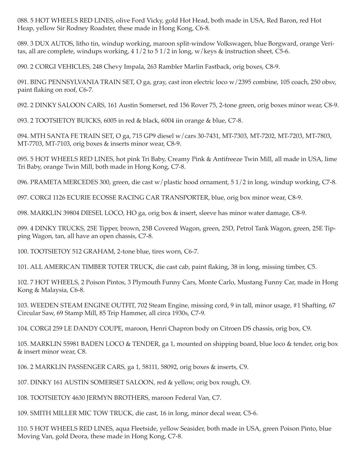088. 5 HOT WHEELS RED LINES, olive Ford Vicky, gold Hot Head, both made in USA, Red Baron, red Hot Heap, yellow Sir Rodney Roadster, these made in Hong Kong, C6-8.

089. 3 DUX AUTOS, litho tin, windup working, maroon split-window Volkswagen, blue Borgward, orange Veritas, all are complete, windups working,  $41/2$  to  $51/2$  in long, w/keys & instruction sheet, C5-6.

090. 2 CORGI VEHICLES, 248 Chevy Impala, 263 Rambler Marlin Fastback, orig boxes, C8-9.

091. BING PENNSYLVANIA TRAIN SET, O ga, gray, cast iron electric loco w/2395 combine, 105 coach, 250 obsv, paint flaking on roof, C6-7.

092. 2 DINKY SALOON CARS, 161 Austin Somerset, red 156 Rover 75, 2-tone green, orig boxes minor wear, C8-9.

093. 2 TOOTSIETOY BUICKS, 6005 in red & black, 6004 iin orange & blue, C7-8.

094. MTH SANTA FE TRAIN SET, O ga, 715 GP9 diesel w/cars 30-7431, MT-7303, MT-7202, MT-7203, MT-7803, MT-7703, MT-7103, orig boxes & inserts minor wear, C8-9.

095. 5 HOT WHEELS RED LINES, hot pink Tri Baby, Creamy Pink & Antifreeze Twin Mill, all made in USA, lime Tri Baby, orange Twin Mill, both made in Hong Kong, C7-8.

096. PRAMETA MERCEDES 300, green, die cast w/plastic hood ornament, 5 1/2 in long, windup working, C7-8.

097. CORGI 1126 ECURIE ECOSSE RACING CAR TRANSPORTER, blue, orig box minor wear, C8-9.

098. MARKLIN 39804 DIESEL LOCO, HO ga, orig box & insert, sleeve has minor water damage, C8-9.

099. 4 DINKY TRUCKS, 25E Tipper, brown, 25B Covered Wagon, green, 25D, Petrol Tank Wagon, green, 25E Tipping Wagon, tan, all have an open chassis, C7-8.

100. TOOTSIETOY 512 GRAHAM, 2-tone blue, tires worn, C6-7.

101. ALL AMERICAN TIMBER TOTER TRUCK, die cast cab, paint flaking, 38 in long, missing timber, C5.

102. 7 HOT WHEELS, 2 Poison Pintos, 3 Plymouth Funny Cars, Monte Carlo, Mustang Funny Car, made in Hong Kong & Malaysia, C6-8.

103. WEEDEN STEAM ENGINE OUTFIT, 702 Steam Engine, missing cord, 9 in tall, minor usage, #1 Shafting, 67 Circular Saw, 69 Stamp Mill, 85 Trip Hammer, all circa 1930s, C7-9.

104. CORGI 259 LE DANDY COUPE, maroon, Henri Chapron body on Citroen DS chassis, orig box, C9.

105. MARKLIN 55981 BADEN LOCO & TENDER, ga 1, mounted on shipping board, blue loco & tender, orig box & insert minor wear, C8.

106. 2 MARKLIN PASSENGER CARS, ga 1, 58111, 58092, orig boxes & inserts, C9.

107. DINKY 161 AUSTIN SOMERSET SALOON, red & yellow, orig box rough, C9.

108. TOOTSIETOY 4630 JERMYN BROTHERS, maroon Federal Van, C7.

109. SMITH MILLER MIC TOW TRUCK, die cast, 16 in long, minor decal wear, C5-6.

110. 5 HOT WHEELS RED LINES, aqua Fleetside, yellow Seasider, both made in USA, green Poison Pinto, blue Moving Van, gold Deora, these made in Hong Kong, C7-8.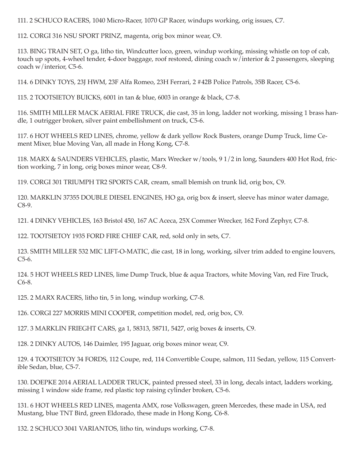111. 2 SCHUCO RACERS, 1040 Micro-Racer, 1070 GP Racer, windups working, orig issues, C7.

112. CORGI 316 NSU SPORT PRINZ, magenta, orig box minor wear, C9.

113. BING TRAIN SET, O ga, litho tin, Windcutter loco, green, windup working, missing whistle on top of cab, touch up spots, 4-wheel tender, 4-door baggage, roof restored, dining coach w/interior & 2 passengers, sleeping coach w/interior, C5-6.

114. 6 DINKY TOYS, 23J HWM, 23F Alfa Romeo, 23H Ferrari, 2 #42B Police Patrols, 35B Racer, C5-6.

115. 2 TOOTSIETOY BUICKS, 6001 in tan & blue, 6003 in orange & black, C7-8.

116. SMITH MILLER MACK AERIAL FIRE TRUCK, die cast, 35 in long, ladder not working, missing 1 brass handle, 1 outrigger broken, silver paint embellishment on truck, C5-6.

117. 6 HOT WHEELS RED LINES, chrome, yellow & dark yellow Rock Busters, orange Dump Truck, lime Cement Mixer, blue Moving Van, all made in Hong Kong, C7-8.

118. MARX & SAUNDERS VEHICLES, plastic, Marx Wrecker w/tools, 91/2 in long, Saunders 400 Hot Rod, friction working, 7 in long, orig boxes minor wear, C8-9.

119. CORGI 301 TRIUMPH TR2 SPORTS CAR, cream, small blemish on trunk lid, orig box, C9.

120. MARKLIN 37355 DOUBLE DIESEL ENGINES, HO ga, orig box & insert, sleeve has minor water damage,  $C8-9.$ 

121. 4 DINKY VEHICLES, 163 Bristol 450, 167 AC Aceca, 25X Commer Wrecker, 162 Ford Zephyr, C7-8.

122. TOOTSIETOY 1935 FORD FIRE CHIEF CAR, red, sold only in sets, C7.

123. SMITH MILLER 532 MIC LIFT-O-MATIC, die cast, 18 in long, working, silver trim added to engine louvers,  $C5-6.$ 

124. 5 HOT WHEELS RED LINES, lime Dump Truck, blue & aqua Tractors, white Moving Van, red Fire Truck,  $C6-8.$ 

125. 2 MARX RACERS, litho tin, 5 in long, windup working, C7-8.

126. CORGI 227 MORRIS MINI COOPER, competition model, red, orig box, C9.

127. 3 MARKLIN FRIEGHT CARS, ga 1, 58313, 58711, 5427, orig boxes & inserts, C9.

128. 2 DINKY AUTOS, 146 Daimler, 195 Jaguar, orig boxes minor wear, C9.

129. 4 TOOTSIETOY 34 FORDS, 112 Coupe, red, 114 Convertible Coupe, salmon, 111 Sedan, yellow, 115 Convertible Sedan, blue, C5-7.

130. DOEPKE 2014 AERIAL LADDER TRUCK, painted pressed steel, 33 in long, decals intact, ladders working, missing 1 window side frame, red plastic top raising cylinder broken, C5-6.

131. 6 HOT WHEELS RED LINES, magenta AMX, rose Volkswagen, green Mercedes, these made in USA, red Mustang, blue TNT Bird, green Eldorado, these made in Hong Kong, C6-8.

132. 2 SCHUCO 3041 VARIANTOS, litho tin, windups working, C7-8.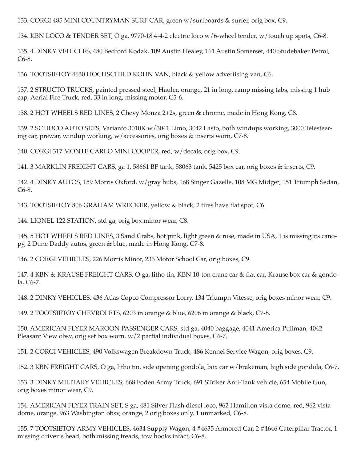133. CORGI 485 MINI COUNTRYMAN SURF CAR, green w/surfboards & surfer, orig box, C9.

134. KBN LOCO & TENDER SET, O ga, 9770-18 4-4-2 electric loco w/6-wheel tender, w/touch up spots, C6-8.

135. 4 DINKY VEHICLES, 480 Bedford Kodak, 109 Austin Healey, 161 Austin Somerset, 440 Studebaker Petrol,  $C6-8.$ 

136. TOOTSIETOY 4630 HOCHSCHILD KOHN VAN, black & yellow advertising van, C6.

137. 2 STRUCTO TRUCKS, painted pressed steel, Hauler, orange, 21 in long, ramp missing tabs, missing 1 hub cap, Aerial Fire Truck, red, 33 in long, missing motor, C5-6.

138. 2 HOT WHEELS RED LINES, 2 Chevy Monza 2+2s, green & chrome, made in Hong Kong, C8.

139. 2 SCHUCO AUTO SETS, Varianto 3010K w/3041 Limo, 3042 Lasto, both windups working, 3000 Telesteering car, prewar, windup working, w/accessories, orig boxes & inserts worn, C7-8.

140. CORGI 317 MONTE CARLO MINI COOPER, red, w/decals, orig box, C9.

141. 3 MARKLIN FREIGHT CARS, ga 1, 58661 BP tank, 58063 tank, 5425 box car, orig boxes & inserts, C9.

142. 4 DINKY AUTOS, 159 Morris Oxford, w/gray hubs, 168 Singer Gazelle, 108 MG Midget, 151 Triumph Sedan,  $C6-8.$ 

143. TOOTSIETOY 806 GRAHAM WRECKER, yellow & black, 2 tires have flat spot, C6.

144. LIONEL 122 STATION, std ga, orig box minor wear, C8.

145. 5 HOT WHEELS RED LINES, 3 Sand Crabs, hot pink, light green & rose, made in USA, 1 is missing its canopy, 2 Dune Daddy autos, green & blue, made in Hong Kong, C7-8.

146. 2 CORGI VEHICLES, 226 Morris Minor, 236 Motor School Car, orig boxes, C9.

147. 4 KBN & KRAUSE FREIGHT CARS, O ga, litho tin, KBN 10-ton crane car & flat car, Krause box car & gondola, C6-7.

148. 2 DINKY VEHICLES, 436 Atlas Copco Compressor Lorry, 134 Triumph Vitesse, orig boxes minor wear, C9.

149. 2 TOOTSIETOY CHEVROLETS, 6203 in orange & blue, 6206 in orange & black, C7-8.

150. AMERICAN FLYER MAROON PASSENGER CARS, std ga, 4040 baggage, 4041 America Pullman, 4042 Pleasant View obsv, orig set box worn, w/2 partial individual boxes, C6-7.

151. 2 CORGI VEHICLES, 490 Volkswagen Breakdown Truck, 486 Kennel Service Wagon, orig boxes, C9.

152. 3 KBN FREIGHT CARS, O ga, litho tin, side opening gondola, box car w/brakeman, high side gondola, C6-7.

153. 3 DINKY MILITARY VEHICLES, 668 Foden Army Truck, 691 STriker Anti-Tank vehicle, 654 Mobile Gun, orig boxes minor wear, C9.

154. AMERICAN FLYER TRAIN SET, S ga, 481 Silver Flash diesel loco, 962 Hamilton vista dome, red, 962 vista dome, orange, 963 Washington obsv, orange, 2 orig boxes only, 1 unmarked, C6-8.

155. 7 TOOTSIETOY ARMY VEHICLES, 4634 Supply Wagon, 4 #4635 Armored Car, 2 #4646 Caterpillar Tractor, 1 missing driver's head, both missing treads, tow hooks intact, C6-8.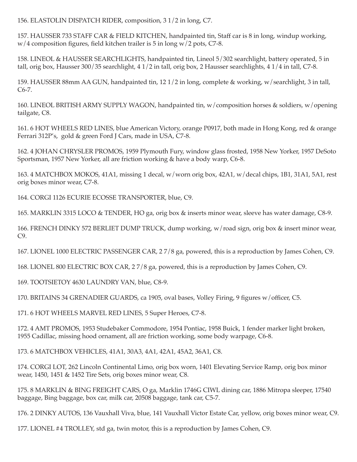156. ELASTOLIN DISPATCH RIDER, composition, 3 1/2 in long, C7.

157. HAUSSER 733 STAFF CAR & FIELD KITCHEN, handpainted tin, Staff car is 8 in long, windup working,  $w/4$  composition figures, field kitchen trailer is 5 in long  $w/2$  pots, C7-8.

158. LINEOL & HAUSSER SEARCHLIGHTS, handpainted tin, Lineol 5/302 searchlight, battery operated, 5 in tall, orig box, Hausser 300/35 searchlight, 4 1/2 in tall, orig box, 2 Hausser searchlights, 4 1/4 in tall, C7-8.

159. HAUSSER 88mm AA GUN, handpainted tin, 12 1/2 in long, complete & working, w/searchlight, 3 in tall,  $C6-7.$ 

160. LINEOL BRITISH ARMY SUPPLY WAGON, handpainted tin, w/composition horses & soldiers, w/opening tailgate, C8.

161. 6 HOT WHEELS RED LINES, blue American Victory, orange P0917, both made in Hong Kong, red & orange Ferrari 312P's, gold & green Ford J Cars, made in USA, C7-8.

162. 4 JOHAN CHRYSLER PROMOS, 1959 Plymouth Fury, window glass frosted, 1958 New Yorker, 1957 DeSoto Sportsman, 1957 New Yorker, all are friction working & have a body warp, C6-8.

163. 4 MATCHBOX MOKOS, 41A1, missing 1 decal, w/worn orig box, 42A1, w/decal chips, 1B1, 31A1, 5A1, rest orig boxes minor wear, C7-8.

164. CORGI 1126 ECURIE ECOSSE TRANSPORTER, blue, C9.

165. MARKLIN 3315 LOCO & TENDER, HO ga, orig box & inserts minor wear, sleeve has water damage, C8-9.

166. FRENCH DINKY 572 BERLIET DUMP TRUCK, dump working, w/road sign, orig box & insert minor wear,  $C9.$ 

167. LIONEL 1000 ELECTRIC PASSENGER CAR, 27/8 ga, powered, this is a reproduction by James Cohen, C9.

168. LIONEL 800 ELECTRIC BOX CAR, 27/8 ga, powered, this is a reproduction by James Cohen, C9.

169. TOOTSIETOY 4630 LAUNDRY VAN, blue, C8-9.

170. BRITAINS 34 GRENADIER GUARDS, ca 1905, oval bases, Volley Firing, 9 figures w/officer, C5.

171. 6 HOT WHEELS MARVEL RED LINES, 5 Super Heroes, C7-8.

172. 4 AMT PROMOS, 1953 Studebaker Commodore, 1954 Pontiac, 1958 Buick, 1 fender marker light broken, 1955 Cadillac, missing hood ornament, all are friction working, some body warpage, C6-8.

173. 6 MATCHBOX VEHICLES, 41A1, 30A3, 4A1, 42A1, 45A2, 36A1, C8.

174. CORGI LOT, 262 Lincoln Continental Limo, orig box worn, 1401 Elevating Service Ramp, orig box minor wear, 1450, 1451 & 1452 Tire Sets, orig boxes minor wear, C8.

175. 8 MARKLIN & BING FREIGHT CARS, O ga, Marklin 1746G CIWL dining car, 1886 Mitropa sleeper, 17540 baggage, Bing baggage, box car, milk car, 20508 baggage, tank car, C5-7.

176. 2 DINKY AUTOS, 136 Vauxhall Viva, blue, 141 Vauxhall Victor Estate Car, yellow, orig boxes minor wear, C9.

177. LIONEL #4 TROLLEY, std ga, twin motor, this is a reproduction by James Cohen, C9.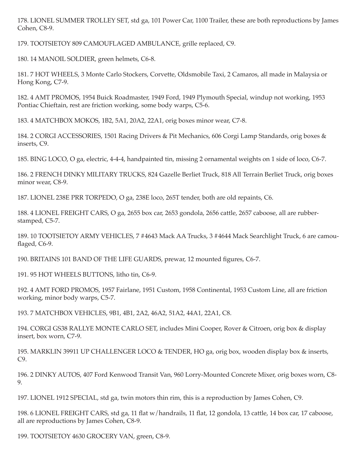178. LIONEL SUMMER TROLLEY SET, std ga, 101 Power Car, 1100 Trailer, these are both reproductions by James Cohen, C8-9.

179. TOOTSIETOY 809 CAMOUFLAGED AMBULANCE, grille replaced, C9.

180. 14 MANOIL SOLDIER, green helmets, C6-8.

181. 7 HOT WHEELS, 3 Monte Carlo Stockers, Corvette, Oldsmobile Taxi, 2 Camaros, all made in Malaysia or Hong Kong, C7-9.

182. 4 AMT PROMOS, 1954 Buick Roadmaster, 1949 Ford, 1949 Plymouth Special, windup not working, 1953 Pontiac Chieftain, rest are friction working, some body warps, C5-6.

183. 4 MATCHBOX MOKOS, 1B2, 5A1, 20A2, 22A1, orig boxes minor wear, C7-8.

184. 2 CORGI ACCESSORIES, 1501 Racing Drivers & Pit Mechanics, 606 Corgi Lamp Standards, orig boxes & inserts, C9.

185. BING LOCO, O ga, electric, 4-4-4, handpainted tin, missing 2 ornamental weights on 1 side of loco, C6-7.

186. 2 FRENCH DINKY MILITARY TRUCKS, 824 Gazelle Berliet Truck, 818 All Terrain Berliet Truck, orig boxes minor wear, C8-9.

187. LIONEL 238E PRR TORPEDO, O ga, 238E loco, 265T tender, both are old repaints, C6.

188. 4 LIONEL FREIGHT CARS, O ga, 2655 box car, 2653 gondola, 2656 cattle, 2657 caboose, all are rubberstamped, C5-7.

189. 10 TOOTSIETOY ARMY VEHICLES, 7 #4643 Mack AA Trucks, 3 #4644 Mack Searchlight Truck, 6 are camouflaged, C6-9.

190. BRITAINS 101 BAND OF THE LIFE GUARDS, prewar, 12 mounted figures, C6-7.

191. 95 HOT WHEELS BUTTONS, litho tin, C6-9.

192. 4 AMT FORD PROMOS, 1957 Fairlane, 1951 Custom, 1958 Continental, 1953 Custom Line, all are friction working, minor body warps, C5-7.

193. 7 MATCHBOX VEHICLES, 9B1, 4B1, 2A2, 46A2, 51A2, 44A1, 22A1, C8.

194. CORGI GS38 RALLYE MONTE CARLO SET, includes Mini Cooper, Rover & Citroen, orig box & display insert, box worn, C7-9.

195. MARKLIN 39911 UP CHALLENGER LOCO & TENDER, HO ga, orig box, wooden display box & inserts,  $C9.$ 

196. 2 DINKY AUTOS, 407 Ford Kenwood Transit Van, 960 Lorry-Mounted Concrete Mixer, orig boxes worn, C8-9.

197. LIONEL 1912 SPECIAL, std ga, twin motors thin rim, this is a reproduction by James Cohen, C9.

198. 6 LIONEL FREIGHT CARS, std ga, 11 flat w/handrails, 11 flat, 12 gondola, 13 cattle, 14 box car, 17 caboose, all are reproductions by James Cohen, C8-9.

199. TOOTSIETOY 4630 GROCERY VAN, green, C8-9.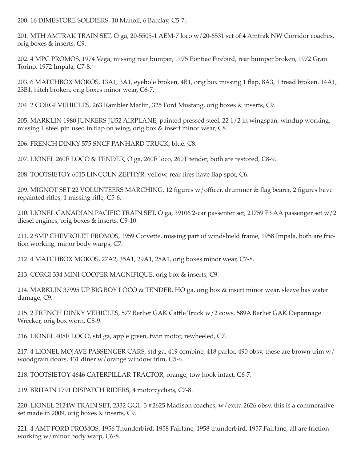200. 16 DIMESTORE SOLDIERS, 10 Manoil, 6 Barclay, C5-7.

201. MTH AMTRAK TRAIN SET, O ga, 20-5505-1 AEM-7 loco w/20-6531 set of 4 Amtrak NW Corridor coaches, orig boxes & inserts, C9.

202. 4 MPC PROMOS, 1974 Vega, missing rear bumper, 1975 Pontiac Firebird, rear bumper broken, 1972 Gran Torino, 1972 Impala, C7-8.

203. 6 MATCHBOX MOKOS, 13A1, 3A1, eyehole broken, 4B1, orig box missing 1 flap, 8A3, 1 tread broken, 14A1, 23B1, hitch broken, orig boxes minor wear, C6-7.

204. 2 CORGI VEHICLES, 263 Rambler Marlin, 325 Ford Mustang, orig boxes & inserts, C9.

205. MARKLIN 1980 JUNKERS JU52 AIRPLANE, painted pressed steel, 22 1/2 in wingspan, windup working, missing 1 steel pin used in flap on wing, orig box & insert minor wear, C8.

206. FRENCH DINKY 575 SNCF PANHARD TRUCK, blue, C8.

207. LIONEL 260E LOCO & TENDER, O ga, 260E loco, 260T tender, both are restored, C8-9.

208. TOOTSIETOY 6015 LINCOLN ZEPHYR, yellow, rear tires have flap spot, C6.

209. MIGNOT SET 22 VOLUNTEERS MARCHING, 12 figures w/officer, drummer & flag bearer, 2 figures have repainted rifles, 1 missing rifle, C5-6.

210. LIONEL CANADIAN PACIFIC TRAIN SET, O ga, 39106 2-car passenter set, 21759 F3 AA passenger set w/2 diesel engines, orig boxes & inserts, C9-10.

211. 2 SMP CHEVROLET PROMOS, 1959 Corvette, missing part of windshield frame, 1958 Impala, both are friction working, minor body warps, C7.

212. 4 MATCHBOX MOKOS, 27A2, 35A1, 29A1, 28A1, orig boxes minor wear, C7-8.

213. CORGI 334 MINI COOPER MAGNIFIQUE, orig box & inserts, C9.

214. MARKLIN 37995 UP BIG BOY LOCO & TENDER, HO ga, orig box & insert minor wear, sleeve has water damage, C9.

215. 2 FRENCH DINKY VEHICLES, 577 Berliet GAK Cattle Truck w/2 cows, 589A Berliet GAK Depannage Wrecker, orig box worn, C8-9.

216. LIONEL 408E LOCO, std ga, apple green, twin motor, rewheeled, C7.

217. 4 LIONEL MOJAVE PASSENGER CARS, std ga, 419 combine, 418 parlor, 490 obsv, these are brown trim w/ woodgrain doors, 431 diner w/orange window trim, C5-6.

218. TOOTSIETOY 4646 CATERPILLAR TRACTOR, orange, tow hook intact, C6-7.

219. BRITAIN 1791 DISPATCH RIDERS, 4 motorcyclists, C7-8.

220. LIONEL 2124W TRAIN SET, 2332 GG1, 3 #2625 Madison coaches, w/extra 2626 obsv, this is a commerative set made in 2009, orig boxes & inserts, C9.

221. 4 AMT FORD PROMOS, 1956 Thunderbird, 1958 Fairlane, 1958 thunderbird, 1957 Fairlane, all are friction working w/minor body warp, C6-8.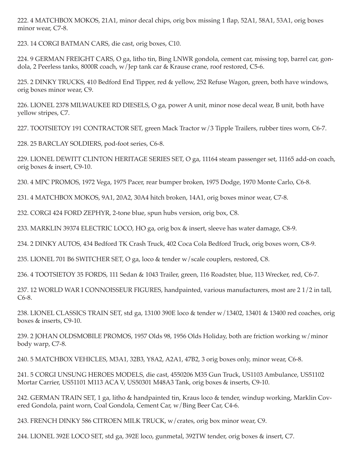222. 4 MATCHBOX MOKOS, 21A1, minor decal chips, orig box missing 1 flap, 52A1, 58A1, 53A1, orig boxes minor wear, C7-8.

223. 14 CORGI BATMAN CARS, die cast, orig boxes, C10.

224. 9 GERMAN FREIGHT CARS, O ga, litho tin, Bing LNWR gondola, cement car, missing top, barrel car, gondola, 2 Peerless tanks, 8000R coach, w/Jep tank car & Krause crane, roof restored, C5-6.

225. 2 DINKY TRUCKS, 410 Bedford End Tipper, red & yellow, 252 Refuse Wagon, green, both have windows, orig boxes minor wear, C9.

226. LIONEL 2378 MILWAUKEE RD DIESELS, O ga, power A unit, minor nose decal wear, B unit, both have vellow stripes, C7.

227. TOOTSIETOY 191 CONTRACTOR SET, green Mack Tractor w/3 Tipple Trailers, rubber tires worn, C6-7.

228. 25 BARCLAY SOLDIERS, pod-foot series, C6-8.

229. LIONEL DEWITT CLINTON HERITAGE SERIES SET, O ga, 11164 steam passenger set, 11165 add-on coach, orig boxes & insert, C9-10.

230. 4 MPC PROMOS, 1972 Vega, 1975 Pacer, rear bumper broken, 1975 Dodge, 1970 Monte Carlo, C6-8.

231. 4 MATCHBOX MOKOS, 9A1, 20A2, 30A4 hitch broken, 14A1, orig boxes minor wear, C7-8.

232. CORGI 424 FORD ZEPHYR, 2-tone blue, spun hubs version, orig box, C8.

233. MARKLIN 39374 ELECTRIC LOCO, HO ga, orig box & insert, sleeve has water damage, C8-9.

234. 2 DINKY AUTOS, 434 Bedford TK Crash Truck, 402 Coca Cola Bedford Truck, orig boxes worn, C8-9.

235. LIONEL 701 B6 SWITCHER SET, O ga, loco & tender w/scale couplers, restored, C8.

236. 4 TOOTSIETOY 35 FORDS, 111 Sedan & 1043 Trailer, green, 116 Roadster, blue, 113 Wrecker, red, C6-7.

237. 12 WORLD WAR I CONNOISSEUR FIGURES, handpainted, various manufacturers, most are 21/2 in tall, C6-8.

238. LIONEL CLASSICS TRAIN SET, std ga, 13100 390E loco & tender w/13402, 13401 & 13400 red coaches, orig boxes & inserts, C9-10.

239. 2 JOHAN OLDSMOBILE PROMOS, 1957 Olds 98, 1956 Olds Holiday, both are friction working w/minor body warp, C7-8.

240. 5 MATCHBOX VEHICLES, M3A1, 32B3, Y8A2, A2A1, 47B2, 3 orig boxes only, minor wear, C6-8.

241. 5 CORGI UNSUNG HEROES MODELS, die cast, 4550206 M35 Gun Truck, US1103 Ambulance, US51102 Mortar Carrier, US51101 M113 ACA V, US50301 M48A3 Tank, orig boxes & inserts, C9-10.

242. GERMAN TRAIN SET, 1 ga, litho & handpainted tin, Kraus loco & tender, windup working, Marklin Covered Gondola, paint worn, Coal Gondola, Cement Car, w/Bing Beer Car, C4-6.

243. FRENCH DINKY 586 CITROEN MILK TRUCK, w/crates, orig box minor wear, C9.

244. LIONEL 392E LOCO SET, std ga, 392E loco, gunmetal, 392TW tender, orig boxes & insert, C7.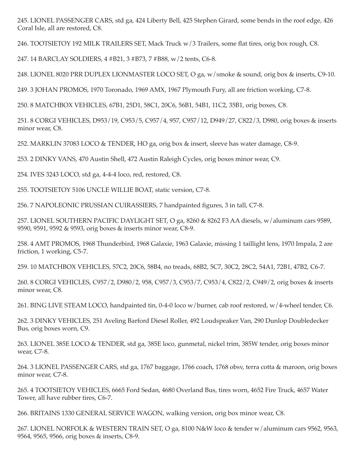245. LIONEL PASSENGER CARS, std ga, 424 Liberty Bell, 425 Stephen Girard, some bends in the roof edge, 426 Coral Isle, all are restored, C8.

246. TOOTSIETOY 192 MILK TRAILERS SET, Mack Truck w/3 Trailers, some flat tires, orig box rough, C8.

247. 14 BARCLAY SOLDIERS, 4 #B21, 3 #B73, 7 #B88, w/2 tents, C6-8.

248. LIONEL 8020 PRR DUPLEX LIONMASTER LOCO SET, O ga, w/smoke & sound, orig box & inserts, C9-10.

249. 3 JOHAN PROMOS, 1970 Toronado, 1969 AMX, 1967 Plymouth Fury, all are friction working, C7-8.

250. 8 MATCHBOX VEHICLES, 67B1, 25D1, 58C1, 20C6, 56B1, 54B1, 11C2, 35B1, orig boxes, C8.

251. 8 CORGI VEHICLES, D953/19, C953/5, C957/4, 957, C957/12, D949/27, C822/3, D980, orig boxes & inserts minor wear, C8.

252. MARKLIN 37083 LOCO & TENDER, HO ga, orig box & insert, sleeve has water damage, C8-9.

253. 2 DINKY VANS, 470 Austin Shell, 472 Austin Raleigh Cycles, orig boxes minor wear, C9.

254. IVES 3243 LOCO, std ga, 4-4-4 loco, red, restored, C8.

255. TOOTSIETOY 5106 UNCLE WILLIE BOAT, static version, C7-8.

256. 7 NAPOLEONIC PRUSSIAN CUIRASSIERS, 7 handpainted figures, 3 in tall, C7-8.

257. LIONEL SOUTHERN PACIFIC DAYLIGHT SET, O ga, 8260 & 8262 F3 AA diesels, w/aluminum cars 9589, 9590, 9591, 9592 & 9593, orig boxes & inserts minor wear, C8-9.

258. 4 AMT PROMOS, 1968 Thunderbird, 1968 Galaxie, 1963 Galaxie, missing 1 taillight lens, 1970 Impala, 2 are friction, 1 working, C5-7.

259. 10 MATCHBOX VEHICLES, 57C2, 20C6, 58B4, no treads, 68B2, 5C7, 30C2, 28C2, 54A1, 72B1, 47B2, C6-7.

260. 8 CORGI VEHICLES, C957/2, D980/2, 958, C957/3, C953/7, C953/4, C822/2, C949/2, orig boxes & inserts minor wear, C8.

261. BING LIVE STEAM LOCO, handpainted tin, 0-4-0 loco w/burner, cab roof restored, w/4-wheel tender, C6.

262. 3 DINKY VEHICLES, 251 Aveling Barford Diesel Roller, 492 Loudspeaker Van, 290 Dunlop Doubledecker Bus, orig boxes worn, C9.

263. LIONEL 385E LOCO & TENDER, std ga, 385E loco, gunmetal, nickel trim, 385W tender, orig boxes minor wear, C7-8.

264. 3 LIONEL PASSENGER CARS, std ga, 1767 baggage, 1766 coach, 1768 obsv, terra cotta & maroon, orig boxes minor wear, C7-8.

265. 4 TOOTSIETOY VEHICLES, 6665 Ford Sedan, 4680 Overland Bus, tires worn, 4652 Fire Truck, 4657 Water Tower, all have rubber tires, C6-7.

266. BRITAINS 1330 GENERAL SERVICE WAGON, walking version, orig box minor wear, C8.

267. LIONEL NORFOLK & WESTERN TRAIN SET, O ga, 8100 N&W loco & tender w/aluminum cars 9562, 9563, 9564, 9565, 9566, orig boxes & inserts, C8-9.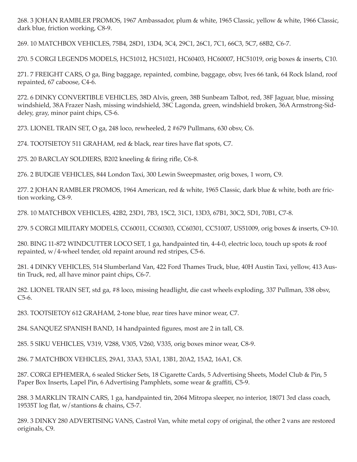268. 3 JOHAN RAMBLER PROMOS, 1967 Ambassador, plum & white, 1965 Classic, yellow & white, 1966 Classic, dark blue, friction working, C8-9.

269. 10 MATCHBOX VEHICLES, 75B4, 28D1, 13D4, 3C4, 29C1, 26C1, 7C1, 66C3, 5C7, 68B2, C6-7.

270. 5 CORGI LEGENDS MODELS, HC51012, HC51021, HC60403, HC60007, HC51019, orig boxes & inserts, C10.

271. 7 FREIGHT CARS, O ga, Bing baggage, repainted, combine, baggage, obsv, Ives 66 tank, 64 Rock Island, roof repainted, 67 caboose, C4-6.

272. 6 DINKY CONVERTIBLE VEHICLES, 38D Alvis, green, 38B Sunbeam Talbot, red, 38F Jaguar, blue, missing windshield, 38A Frazer Nash, missing windshield, 38C Lagonda, green, windshield broken, 36A Armstrong-Siddeley, gray, minor paint chips, C5-6.

273. LIONEL TRAIN SET, O ga, 248 loco, rewheeled, 2 #679 Pullmans, 630 obsv, C6.

274. TOOTSIETOY 511 GRAHAM, red & black, rear tires have flat spots, C7.

275. 20 BARCLAY SOLDIERS, B202 kneeling & firing rifle, C6-8.

276. 2 BUDGIE VEHICLES, 844 London Taxi, 300 Lewin Sweepmaster, orig boxes, 1 worn, C9.

277. 2 JOHAN RAMBLER PROMOS, 1964 American, red & white, 1965 Classic, dark blue & white, both are friction working, C8-9.

278. 10 MATCHBOX VEHICLES, 42B2, 23D1, 7B3, 15C2, 31C1, 13D3, 67B1, 30C2, 5D1, 70B1, C7-8.

279. 5 CORGI MILITARY MODELS, CC60011, CC60303, CC60301, CC51007, US51009, orig boxes & inserts, C9-10.

280. BING 11-872 WINDCUTTER LOCO SET, 1 ga, handpainted tin, 4-4-0, electric loco, touch up spots & roof repainted, w/4-wheel tender, old repaint around red stripes, C5-6.

281. 4 DINKY VEHICLES, 514 Slumberland Van, 422 Ford Thames Truck, blue, 40H Austin Taxi, yellow, 413 Austin Truck, red, all have minor paint chips, C6-7.

282. LIONEL TRAIN SET, std ga, #8 loco, missing headlight, die cast wheels exploding, 337 Pullman, 338 obsv,  $C5-6.$ 

283. TOOTSIETOY 612 GRAHAM, 2-tone blue, rear tires have minor wear, C7.

284. SANQUEZ SPANISH BAND, 14 handpainted figures, most are 2 in tall, C8.

285. 5 SIKU VEHICLES, V319, V288, V305, V260, V335, orig boxes minor wear, C8-9.

286. 7 MATCHBOX VEHICLES, 29A1, 33A3, 53A1, 13B1, 20A2, 15A2, 16A1, C8.

287. CORGI EPHEMERA, 6 sealed Sticker Sets, 18 Cigarette Cards, 5 Advertising Sheets, Model Club & Pin, 5 Paper Box Inserts, Lapel Pin, 6 Advertising Pamphlets, some wear & graffiti, C5-9.

288. 3 MARKLIN TRAIN CARS, 1 ga, handpainted tin, 2064 Mitropa sleeper, no interior, 18071 3rd class coach, 19535T log flat, w/stantions & chains, C5-7.

289. 3 DINKY 280 ADVERTISING VANS, Castrol Van, white metal copy of original, the other 2 vans are restored originals, C9.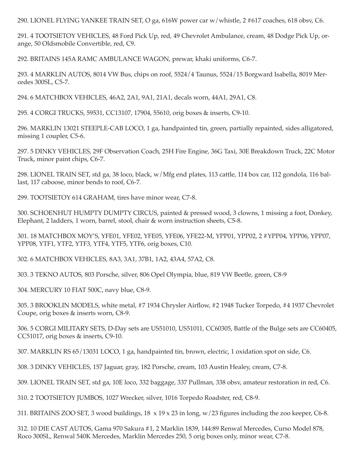290. LIONEL FLYING YANKEE TRAIN SET, O ga, 616W power car w/whistle, 2 #617 coaches, 618 obsv, C6.

291. 4 TOOTSIETOY VEHICLES, 48 Ford Pick Up, red, 49 Chevrolet Ambulance, cream, 48 Dodge Pick Up, orange, 50 Oldsmobile Convertible, red, C9.

292. BRITAINS 145A RAMC AMBULANCE WAGON, prewar, khaki uniforms, C6-7.

293. 4 MARKLIN AUTOS, 8014 VW Bus, chips on roof, 5524/4 Taunus, 5524/15 Borgward Isabella, 8019 Mercedes 300SL, C5-7.

294. 6 MATCHBOX VEHICLES, 46A2, 2A1, 9A1, 21A1, decals worn, 44A1, 29A1, C8.

295. 4 CORGI TRUCKS, 59531, CC13107, 17904, 55610, orig boxes & inserts, C9-10.

296. MARKLIN 13021 STEEPLE-CAB LOCO, 1 ga, handpainted tin, green, partially repainted, sides alligatored, missing 1 coupler, C5-6.

297. 5 DINKY VEHICLES, 29F Observation Coach, 25H Fire Engine, 36G Taxi, 30E Breakdown Truck, 22C Motor Truck, minor paint chips, C6-7.

298. LIONEL TRAIN SET, std ga, 38 loco, black, w/Mfg end plates, 113 cattle, 114 box car, 112 gondola, 116 ballast, 117 caboose, minor bends to roof, C6-7.

299. TOOTSIETOY 614 GRAHAM, tires have minor wear, C7-8.

300. SCHOENHUT HUMPTY DUMPTY CIRCUS, painted & pressed wood, 3 clowns, 1 missing a foot, Donkey, Elephant, 2 ladders, 1 worn, barrel, stool, chair & worn instruction sheets, C5-8.

301. 18 МАТСНВОХ МОҮ'S, ҮГЕ01, ҮГЕ02, ҮГЕ05, ҮГЕ06, ҮГЕ22-М, ҮРР01, ҮРР02, 2 #ҮРР04, ҮРР06, ҮРР07, YPP08, YTF1, YTF2, YTF3, YTF4, YTF5, YTF6, orig boxes, C10.

302. 6 MATCHBOX VEHICLES, 8A3, 3A1, 37B1, 1A2, 43A4, 57A2, C8.

303. 3 TEKNO AUTOS, 803 Porsche, silver, 806 Opel Olympia, blue, 819 VW Beetle, green, C8-9

304. MERCURY 10 FIAT 500C, navy blue, C8-9.

305. 3 BROOKLIN MODELS, white metal, #7 1934 Chrysler Airflow, #2 1948 Tucker Torpedo, #4 1937 Chevrolet Coupe, orig boxes & inserts worn, C8-9.

306. 5 CORGI MILITARY SETS, D-Day sets are US51010, US51011, CC60305, Battle of the Bulge sets are CC60405, CC51017, orig boxes & inserts, C9-10.

307. MARKLIN RS 65/13031 LOCO, 1 ga, handpainted tin, brown, electric, 1 oxidation spot on side, C6.

308. 3 DINKY VEHICLES, 157 Jaguar, gray, 182 Porsche, cream, 103 Austin Healey, cream, C7-8.

309. LIONEL TRAIN SET, std ga, 10E loco, 332 baggage, 337 Pullman, 338 obsv, amateur restoration in red, C6.

310. 2 TOOTSIETOY JUMBOS, 1027 Wrecker, silver, 1016 Torpedo Roadster, red, C8-9.

311. BRITAINS ZOO SET, 3 wood buildings, 18 x 19 x 23 in long, w/23 figures including the zoo keeper, C6-8.

312. 10 DIE CAST AUTOS, Gama 970 Sakura #1, 2 Marklin 1839, 144:89 Renwal Mercedes, Curso Model 878, Roco 300SL, Renwal 540K Mercedes, Marklin Mercedes 250, 5 orig boxes only, minor wear, C7-8.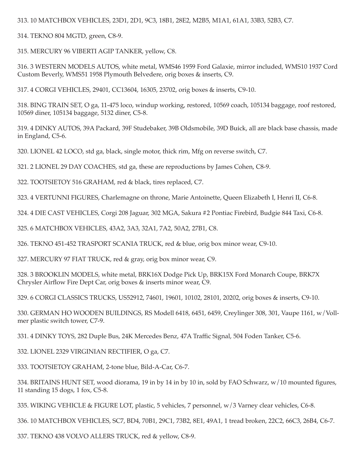313. 10 MATCHBOX VEHICLES, 23D1, 2D1, 9C3, 18B1, 28E2, M2B5, M1A1, 61A1, 33B3, 52B3, C7.

314. TEKNO 804 MGTD, green, C8-9.

315. MERCURY 96 VIBERTI AGIP TANKER, yellow, C8.

316. 3 WESTERN MODELS AUTOS, white metal, WMS46 1959 Ford Galaxie, mirror included, WMS10 1937 Cord Custom Beverly, WMS51 1958 Plymouth Belvedere, orig boxes & inserts, C9.

317. 4 CORGI VEHICLES, 29401, CC13604, 16305, 23702, orig boxes & inserts, C9-10.

318. BING TRAIN SET, O ga, 11-475 loco, windup working, restored, 10569 coach, 105134 baggage, roof restored, 10569 diner, 105134 baggage, 5132 diner, C5-8.

319. 4 DINKY AUTOS, 39A Packard, 39F Studebaker, 39B Oldsmobile, 39D Buick, all are black base chassis, made in England, C5-6.

320. LIONEL 42 LOCO, std ga, black, single motor, thick rim, Mfg on reverse switch, C7.

321. 2 LIONEL 29 DAY COACHES, std ga, these are reproductions by James Cohen, C8-9.

322. TOOTSIETOY 516 GRAHAM, red & black, tires replaced, C7.

323. 4 VERTUNNI FIGURES, Charlemagne on throne, Marie Antoinette, Queen Elizabeth I, Henri II, C6-8.

324. 4 DIE CAST VEHICLES, Corgi 208 Jaguar, 302 MGA, Sakura #2 Pontiac Firebird, Budgie 844 Taxi, C6-8.

325. 6 MATCHBOX VEHICLES, 43A2, 3A3, 32A1, 7A2, 50A2, 27B1, C8.

326. TEKNO 451-452 TRASPORT SCANIA TRUCK, red & blue, orig box minor wear, C9-10.

327. MERCURY 97 FIAT TRUCK, red & gray, orig box minor wear, C9.

328. 3 BROOKLIN MODELS, white metal, BRK16X Dodge Pick Up, BRK15X Ford Monarch Coupe, BRK7X Chrysler Airflow Fire Dept Car, orig boxes & inserts minor wear, C9.

329. 6 CORGI CLASSICS TRUCKS, US52912, 74601, 19601, 10102, 28101, 20202, orig boxes & inserts, C9-10.

330. GERMAN HO WOODEN BUILDINGS, RS Modell 6418, 6451, 6459, Creylinger 308, 301, Vaupe 1161, w/Vollmer plastic switch tower, C7-9.

331. 4 DINKY TOYS, 282 Duple Bus, 24K Mercedes Benz, 47A Traffic Signal, 504 Foden Tanker, C5-6.

332. LIONEL 2329 VIRGINIAN RECTIFIER, O ga, C7.

333. TOOTSIETOY GRAHAM, 2-tone blue, Bild-A-Car, C6-7.

334. BRITAINS HUNT SET, wood diorama, 19 in by 14 in by 10 in, sold by FAO Schwarz, w/10 mounted figures, 11 standing 15 dogs, 1 fox, C5-8.

335. WIKING VEHICLE & FIGURE LOT, plastic, 5 vehicles, 7 personnel, w/3 Varney clear vehicles, C6-8.

336. 10 MATCHBOX VEHICLES, SC7, BD4, 70B1, 29C1, 73B2, 8E1, 49A1, 1 tread broken, 22C2, 66C3, 26B4, C6-7.

337. TEKNO 438 VOLVO ALLERS TRUCK, red & yellow, C8-9.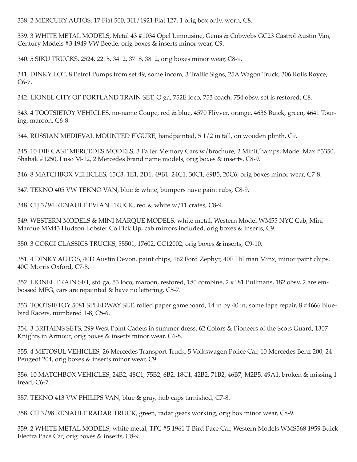338. 2 MERCURY AUTOS, 17 Fiat 500, 311/1921 Fiat 127, 1 orig box only, worn, C8.

339. 3 WHITE METAL MODELS, Metal 43 #1034 Opel Limousine, Gems & Cobwebs GC23 Castrol Austin Van, Century Models #3 1949 VW Beetle, orig boxes & inserts minor wear, C9.

340. 5 SIKU TRUCKS, 2524, 2215, 3412, 3718, 3812, orig boxes minor wear, C8-9.

341. DINKY LOT, 8 Petrol Pumps from set 49, some incom, 3 Traffic Signs, 25A Wagon Truck, 306 Rolls Royce,  $C6-7.$ 

342. LIONEL CITY OF PORTLAND TRAIN SET, O ga, 752E loco, 753 coach, 754 obsv, set is restored, C8.

343. 4 TOOTSIETOY VEHICLES, no-name Coupe, red & blue, 4570 Flivver, orange, 4636 Buick, green, 4641 Touring, maroon, C6-8.

344. RUSSIAN MEDIEVAL MOUNTED FIGURE, handpainted, 5 1/2 in tall, on wooden plinth, C9.

345. 10 DIE CAST MERCEDES MODELS, 3 Faller Memory Cars w/brochure, 2 MiniChamps, Model Max #3350, Shabak #1250, Luso M-12, 2 Mercedes brand name models, orig boxes & inserts, C8-9.

346. 8 MATCHBOX VEHICLES, 15C3, 1E1, 2D1, 49B1, 24C1, 30C1, 69B5, 20C6, orig boxes minor wear, C7-8.

347. TEKNO 405 VW TEKNO VAN, blue & white, bumpers have paint rubs, C8-9.

348. CIJ 3/94 RENAULT EVIAN TRUCK, red & white w/11 crates, C8-9.

349. WESTERN MODELS & MINI MARQUE MODELS, white metal, Western Model WM55 NYC Cab, Mini Marque MM43 Hudson Lobster Co Pick Up, cab mirrors included, orig boxes & inserts, C9.

350. 3 CORGI CLASSICS TRUCKS, 55501, 17602, CC12002, orig boxes & inserts, C9-10.

351. 4 DINKY AUTOS, 40D Austin Devon, paint chips, 162 Ford Zephyr, 40F Hillman Minx, minor paint chips, 40G Morris Oxford, C7-8.

352. LIONEL TRAIN SET, std ga, 53 loco, maroon, restored, 180 combine, 2 #181 Pullmans, 182 obsv, 2 are embossed MFG, cars are repainted & have no lettering, C5-7.

353. TOOTSIETOY 5081 SPEEDWAY SET, rolled paper gameboard, 14 in by 40 in, some tape repair, 8 #4666 Bluebird Racers, numbered 1-8, C5-6.

354. 3 BRITAINS SETS, 299 West Point Cadets in summer dress, 62 Colors & Pioneers of the Scots Guard, 1307 Knights in Armour, orig boxes & inserts minor wear, C6-8.

355. 4 METOSUL VEHICLES, 26 Mercedes Transport Truck, 5 Volkswagen Police Car, 10 Mercedes Benz 200, 24 Peugeot 204, orig boxes & inserts minor wear, C9.

356. 10 MATCHBOX VEHICLES, 24B2, 48C1, 75B2, 6B2, 18C1, 42B2, 71B2, 46B7, M2B5, 49A1, broken & missing 1 tread, C6-7.

357. TEKNO 413 VW PHILIPS VAN, blue & gray, hub caps tarnished, C7-8.

358. CIJ 3/98 RENAULT RADAR TRUCK, green, radar gears working, orig box minor wear, C8-9.

359. 2 WHITE METAL MODELS, white metal, TFC #5 1961 T-Bird Pace Car, Western Models WMS568 1959 Buick Electra Pace Car, orig boxes & inserts, C8-9.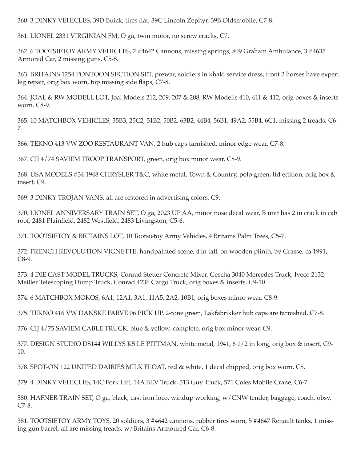360. 3 DINKY VEHICLES, 39D Buick, tires flat, 39C Lincoln Zephyr, 39B Oldsmobile, C7-8.

361. LIONEL 2331 VIRGINIAN FM, O ga, twin motor, no screw cracks, C7.

362. 6 TOOTSIETOY ARMY VEHICLES, 2 #4642 Cannons, missing springs, 809 Graham Ambulance, 3 #4635 Armored Car, 2 missing guns, C5-8.

363. BRITAINS 1254 PONTOON SECTION SET, prewar, soldiers in khaki service dress, front 2 horses have expert leg repair, orig box worn, top missing side flaps, C7-8.

364. JOAL & RW MODELL LOT, Joal Models 212, 209, 207 & 208, RW Modells 410, 411 & 412, orig boxes & inserts worn, C8-9.

365. 10 MATCHBOX VEHICLES, 35B3, 25C2, 51B2, 50B2, 63B2, 44B4, 56B1, 49A2, 55B4, 6C1, missing 2 treads, C6-7.

366. TEKNO 413 VW ZOO RESTAURANT VAN, 2 hub caps tarnished, minor edge wear, C7-8.

367. CIJ 4/74 SAVIEM TROOP TRANSPORT, green, orig box minor wear, C8-9.

368. USA MODELS #34 1948 CHRYSLER T&C, white metal, Town & Country, polo green, ltd edition, orig box & insert, C9.

369. 3 DINKY TROJAN VANS, all are restored in advertising colors, C9.

370. LIONEL ANNIVERSARY TRAIN SET, O ga, 2023 UP AA, minor nose decal wear, B unit has 2 in crack in cab roof, 2481 Plainfield, 2482 Westfield, 2483 Livingston, C5-6.

371. TOOTSIETOY & BRITAINS LOT, 10 Tootsietoy Army Vehicles, 4 Britains Palm Trees, C5-7.

372. FRENCH REVOLUTION VIGNETTE, handpainted scene, 4 in tall, on wooden plinth, by Grasse, ca 1991,  $C8-9.$ 

373. 4 DIE CAST MODEL TRUCKS, Conrad Stetter Concrete Mixer, Gescha 3040 Mercedes Truck, Iveco 2132 Meiller Telescoping Dump Truck, Conrad 4236 Cargo Truck, orig boxes & inserts, C9-10.

374. 6 MATCHBOX MOKOS, 6A1, 12A1, 3A1, 11A5, 2A2, 10B1, orig boxes minor wear, C8-9.

375. TEKNO 416 VW DANSKE FARVE 06 PICK UP, 2-tone green, Lakfabrikker hub caps are tarnished, C7-8.

376. CIJ 4/75 SAVIEM CABLE TRUCK, blue & yellow, complete, orig box minor wear, C9.

377. DESIGN STUDIO DS144 WILLYS KS LE PITTMAN, white metal, 1941, 6 1/2 in long, orig box & insert, C9-10.

378. SPOT-ON 122 UNITED DAIRIES MILK FLOAT, red & white, 1 decal chipped, orig box worn, C8.

379. 4 DINKY VEHICLES, 14C Fork Lift, 14A BEV Truck, 513 Guy Truck, 571 Coles Mobile Crane, C6-7.

380. HAFNER TRAIN SET, O ga, black, cast iron loco, windup working, w/CNW tender, baggage, coach, obsv,  $C7-8.$ 

381. TOOTSIETOY ARMY TOYS, 20 soldiers, 3 #4642 cannons, rubber tires worn, 5 #4647 Renault tanks, 1 missing gun barrel, all are missing treads, w/Britains Armoured Car, C6-8.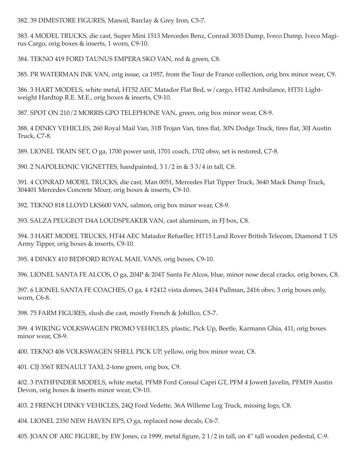382. 39 DIMESTORE FIGURES, Manoil, Barclay & Grey Iron, C5-7.

383. 4 MODEL TRUCKS, die cast, Super Mini 1513 Mercedes Benz, Conrad 3035 Dump, Iveco Dump, Iveco Magirus Cargo, orig boxes & inserts, 1 worn, C9-10.

384. TEKNO 419 FORD TAUNUS EMPERA SKO VAN, red & green, C8.

385. PR WATERMAN INK VAN, orig issue, ca 1957, from the Tour de France collection, orig box minor wear, C9.

386. 3 HART MODELS, white metal, HT52 AEC Matador Flat Bed, w/cargo, HT42 Ambulance, HT51 Lightweight Hardtop R.E. M.E., orig boxes & inserts, C9-10.

387. SPOT ON 210/2 MORRIS GPO TELEPHONE VAN, green, orig box minor wear, C8-9.

388. 4 DINKY VEHICLES, 260 Royal Mail Van, 31B Trojan Van, tires flat, 30N Dodge Truck, tires flat, 30J Austin Truck, C7-8.

389. LIONEL TRAIN SET, O ga, 1700 power unit, 1701 coach, 1702 obsv, set is restored, C7-8.

390. 2 NAPOLEONIC VIGNETTES, handpainted, 3 1/2 in & 3 3/4 in tall, C8.

391. 4 CONRAD MODEL TRUCKS, die cast, Man 0051, Mercedes Flat Tipper Truck, 3640 Mack Dump Truck, 304401 Mercedes Concrete Mixer, orig boxes & inserts, C9-10.

392. TEKNO 818 LLOYD LKS600 VAN, salmon, orig box minor wear, C8-9.

393. SALZA PEUGEOT D4A LOUDSPEAKER VAN, cast aluminum, in FJ box, C8.

394. 3 HART MODEL TRUCKS, HT44 AEC Matador Refueller, HT15 Land Rover British Telecom, Diamond T US Army Tipper, orig boxes & inserts, C9-10.

395. 4 DINKY 410 BEDFORD ROYAL MAIL VANS, orig boxes, C9-10.

396. LIONEL SANTA FE ALCOS, O ga, 204P & 204T Santa Fe Alcos, blue, minor nose decal cracks, orig boxes, C8.

397. 6 LIONEL SANTA FE COACHES, O ga, 4 #2412 vista domes, 2414 Pullman, 2416 obsv, 3 orig boxes only, worn, C6-8.

398. 75 FARM FIGURES, slush die cast, mostly French & Johillco, C5-7.

399. 4 WIKING VOLKSWAGEN PROMO VEHICLES, plastic, Pick Up, Beetle, Karmann Ghia, 411, orig boxes minor wear, C8-9.

400. TEKNO 406 VOLKSWAGEN SHELL PICK UP, yellow, orig box minor wear, C8.

401. CIJ 356T RENAULT TAXI, 2-tone green, orig box, C9.

402. 3 PATHFINDER MODELS, white metal, PFM8 Ford Consul Capri GT, PFM 4 Jowett Javelin, PFM19 Austin Devon, orig boxes & inserts minor wear, C9-10.

403. 2 FRENCH DINKY VEHICLES, 24Q Ford Vedette, 36A Willeme Log Truck, missing logs, C8.

404. LIONEL 2350 NEW HAVEN EP5, O ga, replaced nose decals, C6-7.

405. JOAN OF ARC FIGURE, by EW Jones, ca 1999, metal figure, 2 1/2 in tall, on 4" tall wooden pedestal, C-9.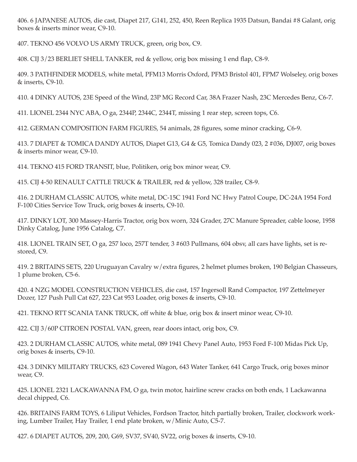406. 6 JAPANESE AUTOS, die cast, Diapet 217, G141, 252, 450, Reen Replica 1935 Datsun, Bandai #8 Galant, orig boxes & inserts minor wear, C9-10.

407. TEKNO 456 VOLVO US ARMY TRUCK, green, orig box, C9.

408. CIJ 3/23 BERLIET SHELL TANKER, red & yellow, orig box missing 1 end flap, C8-9.

409. 3 PATHFINDER MODELS, white metal, PFM13 Morris Oxford, PFM3 Bristol 401, FPM7 Wolseley, orig boxes & inserts, C9-10.

410. 4 DINKY AUTOS, 23E Speed of the Wind, 23P MG Record Car, 38A Frazer Nash, 23C Mercedes Benz, C6-7.

411. LIONEL 2344 NYC ABA, O ga, 2344P, 2344C, 2344T, missing 1 rear step, screen tops, C6.

412. GERMAN COMPOSITION FARM FIGURES, 54 animals, 28 figures, some minor cracking, C6-9.

413. 7 DIAPET & TOMICA DANDY AUTOS, Diapet G13, G4 & G5, Tomica Dandy 023, 2 #036, DJ007, orig boxes & inserts minor wear, C9-10.

414. TEKNO 415 FORD TRANSIT, blue, Politiken, orig box minor wear, C9.

415. CIJ 4-50 RENAULT CATTLE TRUCK & TRAILER, red & yellow, 328 trailer, C8-9.

416. 2 DURHAM CLASSIC AUTOS, white metal, DC-15C 1941 Ford NC Hwy Patrol Coupe, DC-24A 1954 Ford F-100 Cities Service Tow Truck, orig boxes & inserts, C9-10.

417. DINKY LOT, 300 Massey-Harris Tractor, orig box worn, 324 Grader, 27C Manure Spreader, cable loose, 1958 Dinky Catalog, June 1956 Catalog, C7.

418. LIONEL TRAIN SET, O ga, 257 loco, 257T tender, 3 #603 Pullmans, 604 obsv, all cars have lights, set is restored, C9.

419. 2 BRITAINS SETS, 220 Uruguayan Cavalry w/extra figures, 2 helmet plumes broken, 190 Belgian Chasseurs, 1 plume broken, C5-6.

420. 4 NZG MODEL CONSTRUCTION VEHICLES, die cast, 157 Ingersoll Rand Compactor, 197 Zettelmeyer Dozer, 127 Push Pull Cat 627, 223 Cat 953 Loader, orig boxes & inserts, C9-10.

421. TEKNO RTT SCANIA TANK TRUCK, off white & blue, orig box & insert minor wear, C9-10.

422. CIJ 3/60P CITROEN POSTAL VAN, green, rear doors intact, orig box, C9.

423. 2 DURHAM CLASSIC AUTOS, white metal, 089 1941 Chevy Panel Auto, 1953 Ford F-100 Midas Pick Up, orig boxes & inserts, C9-10.

424. 3 DINKY MILITARY TRUCKS, 623 Covered Wagon, 643 Water Tanker, 641 Cargo Truck, orig boxes minor wear, C9.

425. LIONEL 2321 LACKAWANNA FM, O ga, twin motor, hairline screw cracks on both ends, 1 Lackawanna decal chipped, C6.

426. BRITAINS FARM TOYS, 6 Liliput Vehicles, Fordson Tractor, hitch partially broken, Trailer, clockwork working, Lumber Trailer, Hay Trailer, 1 end plate broken, w/Minic Auto, C5-7.

427. 6 DIAPET AUTOS, 209, 200, G69, SV37, SV40, SV22, orig boxes & inserts, C9-10.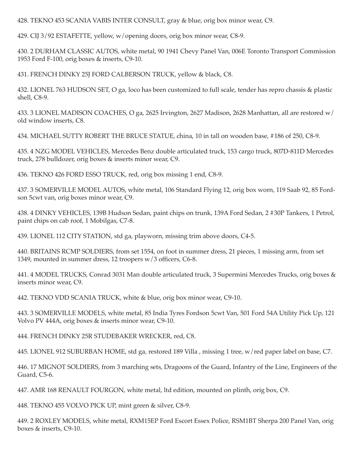428. TEKNO 453 SCANIA VABIS INTER CONSULT, gray & blue, orig box minor wear, C9.

429. CIJ 3/92 ESTAFETTE, yellow, w/opening doors, orig box minor wear, C8-9.

430. 2 DURHAM CLASSIC AUTOS, white metal, 90 1941 Chevy Panel Van, 006E Toronto Transport Commission 1953 Ford F-100, orig boxes & inserts, C9-10.

431. FRENCH DINKY 25J FORD CALBERSON TRUCK, yellow & black, C8.

432. LIONEL 763 HUDSON SET, O ga, loco has been customized to full scale, tender has repro chassis & plastic shell, C8-9.

433. 3 LIONEL MADISON COACHES, O ga, 2625 Irvington, 2627 Madison, 2628 Manhattan, all are restored w/ old window inserts, C8.

434. MICHAEL SUTTY ROBERT THE BRUCE STATUE, china, 10 in tall on wooden base, #186 of 250, C8-9.

435. 4 NZG MODEL VEHICLES, Mercedes Benz double articulated truck, 153 cargo truck, 807D-811D Mercedes truck, 278 bulldozer, orig boxes & inserts minor wear, C9.

436. TEKNO 426 FORD ESSO TRUCK, red, orig box missing 1 end, C8-9.

437. 3 SOMERVILLE MODEL AUTOS, white metal, 106 Standard Flying 12, orig box worn, 119 Saab 92, 85 Fordson 5 cwt van, orig boxes minor wear, C9.

438. 4 DINKY VEHICLES, 139B Hudson Sedan, paint chips on trunk, 139A Ford Sedan, 2 #30P Tankers, 1 Petrol, paint chips on cab roof, 1 Mobilgas, C7-8.

439. LIONEL 112 CITY STATION, std ga, playworn, missing trim above doors, C4-5.

440. BRITAINS RCMP SOLDIERS, from set 1554, on foot in summer dress, 21 pieces, 1 missing arm, from set 1349, mounted in summer dress, 12 troopers w/3 officers, C6-8.

441. 4 MODEL TRUCKS, Conrad 3031 Man double articulated truck, 3 Supermini Mercedes Trucks, orig boxes & inserts minor wear, C9.

442. TEKNO VDD SCANIA TRUCK, white & blue, orig box minor wear, C9-10.

443. 3 SOMERVILLE MODELS, white metal, 85 India Tyres Fordson 5cwt Van, 501 Ford 54A Utility Pick Up, 121 Volvo PV 444A, orig boxes & inserts minor wear, C9-10.

444. FRENCH DINKY 25R STUDEBAKER WRECKER, red, C8.

445. LIONEL 912 SUBURBAN HOME, std ga, restored 189 Villa, missing 1 tree, w/red paper label on base, C7.

446.17 MIGNOT SOLDIERS, from 3 marching sets, Dragoons of the Guard, Infantry of the Line, Engineers of the Guard, C5-6.

447. AMR 168 RENAULT FOURGON, white metal, ltd edition, mounted on plinth, orig box, C9.

448. TEKNO 455 VOLVO PICK UP, mint green & silver, C8-9.

449. 2 ROXLEY MODELS, white metal, RXM15EP Ford Escort Essex Police, RSM1BT Sherpa 200 Panel Van, orig boxes & inserts, C9-10.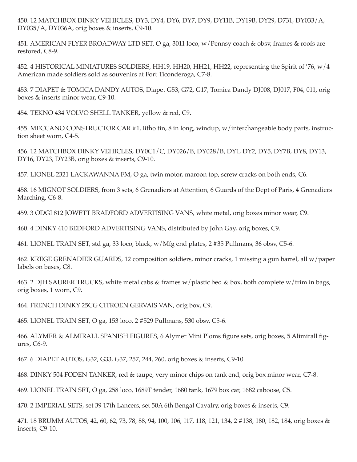450. 12 MATCHBOX DINKY VEHICLES, DY3, DY4, DY6, DY7, DY9, DY11B, DY19B, DY29, D731, DY033/A, DY035/A, DY036A, orig boxes & inserts, C9-10.

451. AMERICAN FLYER BROADWAY LTD SET, O ga, 3011 loco, w/Pennsy coach & obsv, frames & roofs are restored, C8-9.

452. 4 HISTORICAL MINIATURES SOLDIERS, HH19, HH20, HH21, HH22, representing the Spirit of '76, w/4 American made soldiers sold as souvenirs at Fort Ticonderoga, C7-8.

453. 7 DIAPET & TOMICA DANDY AUTOS, Diapet G53, G72, G17, Tomica Dandy DJ008, DJ017, F04, 011, orig boxes & inserts minor wear, C9-10.

454. TEKNO 434 VOLVO SHELL TANKER, vellow & red, C9.

455. MECCANO CONSTRUCTOR CAR #1, litho tin, 8 in long, windup, w/interchangeable body parts, instruction sheet worn, C4-5.

456. 12 MATCHBOX DINKY VEHICLES, DY0C1/C, DY026/B, DY028/B, DY1, DY2, DY5, DY7B, DY8, DY13, DY16, DY23, DY23B, orig boxes & inserts, C9-10.

457. LIONEL 2321 LACKAWANNA FM, O ga, twin motor, maroon top, screw cracks on both ends, C6.

458. 16 MIGNOT SOLDIERS, from 3 sets, 6 Grenadiers at Attention, 6 Guards of the Dept of Paris, 4 Grenadiers Marching, C6-8.

459. 3 ODGI 812 JOWETT BRADFORD ADVERTISING VANS, white metal, orig boxes minor wear, C9.

460. 4 DINKY 410 BEDFORD ADVERTISING VANS, distributed by John Gay, orig boxes, C9.

461. LIONEL TRAIN SET, std ga, 33 loco, black, w/Mfg end plates, 2 #35 Pullmans, 36 obsv, C5-6.

462. KREGE GRENADIER GUARDS, 12 composition soldiers, minor cracks, 1 missing a gun barrel, all w/paper labels on bases, C8.

463. 2 DJH SAURER TRUCKS, white metal cabs & frames w/plastic bed & box, both complete w/trim in bags, orig boxes, 1 worn, C9.

464. FRENCH DINKY 25CG CITROEN GERVAIS VAN, orig box, C9.

465. LIONEL TRAIN SET, O ga, 153 loco, 2 #529 Pullmans, 530 obsv, C5-6.

466. ALYMER & ALMIRALL SPANISH FIGURES, 6 Alymer Mini Ploms figure sets, orig boxes, 5 Alimirall figures, C6-9.

467. 6 DIAPET AUTOS, G32, G33, G37, 257, 244, 260, orig boxes & inserts, C9-10.

468. DINKY 504 FODEN TANKER, red & taupe, very minor chips on tank end, orig box minor wear, C7-8.

469. LIONEL TRAIN SET, O ga, 258 loco, 1689T tender, 1680 tank, 1679 box car, 1682 caboose, C5.

470. 2 IMPERIAL SETS, set 39 17th Lancers, set 50A 6th Bengal Cavalry, orig boxes & inserts, C9.

471. 18 BRUMM AUTOS, 42, 60, 62, 73, 78, 88, 94, 100, 106, 117, 118, 121, 134, 2 #138, 180, 182, 184, orig boxes & inserts, C9-10.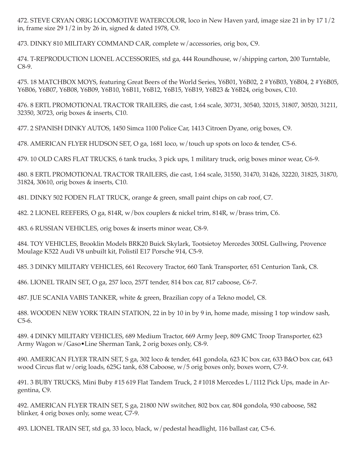472. STEVE CRYAN ORIG LOCOMOTIVE WATERCOLOR, loco in New Haven yard, image size 21 in by 17 1/2 in, frame size  $291/2$  in by 26 in, signed & dated 1978, C9.

473. DINKY 810 MILITARY COMMAND CAR, complete w/accessories, orig box, C9.

474. T-REPRODUCTION LIONEL ACCESSORIES, std ga, 444 Roundhouse, w/shipping carton, 200 Turntable,  $C8-9.$ 

475. 18 MATCHBOX MOYS, featuring Great Beers of the World Series, Y6B01, Y6B02, 2#Y6B03, Y6B04, 2#Y6B05, Y6B06, Y6B07, Y6B08, Y6B09, Y6B10, Y6B11, Y6B12, Y6B15, Y6B19, Y6B23 & Y6B24, orig boxes, C10.

476. 8 ERTL PROMOTIONAL TRACTOR TRAILERS, die cast, 1:64 scale, 30731, 30540, 32015, 31807, 30520, 31211, 32350, 30723, orig boxes & inserts, C10.

477. 2 SPANISH DINKY AUTOS, 1450 Simca 1100 Police Car, 1413 Citroen Dyane, orig boxes, C9.

478. AMERICAN FLYER HUDSON SET, O ga, 1681 loco, w/touch up spots on loco & tender, C5-6.

479. 10 OLD CARS FLAT TRUCKS, 6 tank trucks, 3 pick ups, 1 military truck, orig boxes minor wear, C6-9.

480. 8 ERTL PROMOTIONAL TRACTOR TRAILERS, die cast, 1:64 scale, 31550, 31470, 31426, 32220, 31825, 31870, 31824, 30610, orig boxes & inserts, C10.

481. DINKY 502 FODEN FLAT TRUCK, orange & green, small paint chips on cab roof, C7.

482. 2 LIONEL REEFERS, O ga, 814R, w/box couplers & nickel trim, 814R, w/brass trim, C6.

483. 6 RUSSIAN VEHICLES, orig boxes & inserts minor wear, C8-9.

484. TOY VEHICLES, Brooklin Models BRK20 Buick Skylark, Tootsietoy Mercedes 300SL Gullwing, Provence Moulage K522 Audi V8 unbuilt kit, Polistil E17 Porsche 914, C5-9.

485. 3 DINKY MILITARY VEHICLES, 661 Recovery Tractor, 660 Tank Transporter, 651 Centurion Tank, C8.

486. LIONEL TRAIN SET, O ga, 257 loco, 257T tender, 814 box car, 817 caboose, C6-7.

487. JUE SCANIA VABIS TANKER, white & green, Brazilian copy of a Tekno model, C8.

488. WOODEN NEW YORK TRAIN STATION, 22 in by 10 in by 9 in, home made, missing 1 top window sash,  $C5-6.$ 

489. 4 DINKY MILITARY VEHICLES, 689 Medium Tractor, 669 Army Jeep, 809 GMC Troop Transporter, 623 Army Wagon w/Gaso•Line Sherman Tank, 2 orig boxes only, C8-9.

490. AMERICAN FLYER TRAIN SET, S ga, 302 loco & tender, 641 gondola, 623 IC box car, 633 B&O box car, 643 wood Circus flat w/orig loads, 625G tank, 638 Caboose, w/5 orig boxes only, boxes worn, C7-9.

491. 3 BUBY TRUCKS, Mini Buby #15 619 Flat Tandem Truck, 2 #1018 Mercedes L/1112 Pick Ups, made in Argentina, C9.

492. AMERICAN FLYER TRAIN SET, S ga, 21800 NW switcher, 802 box car, 804 gondola, 930 caboose, 582 blinker, 4 orig boxes only, some wear, C7-9.

493. LIONEL TRAIN SET, std ga, 33 loco, black, w/pedestal headlight, 116 ballast car, C5-6.